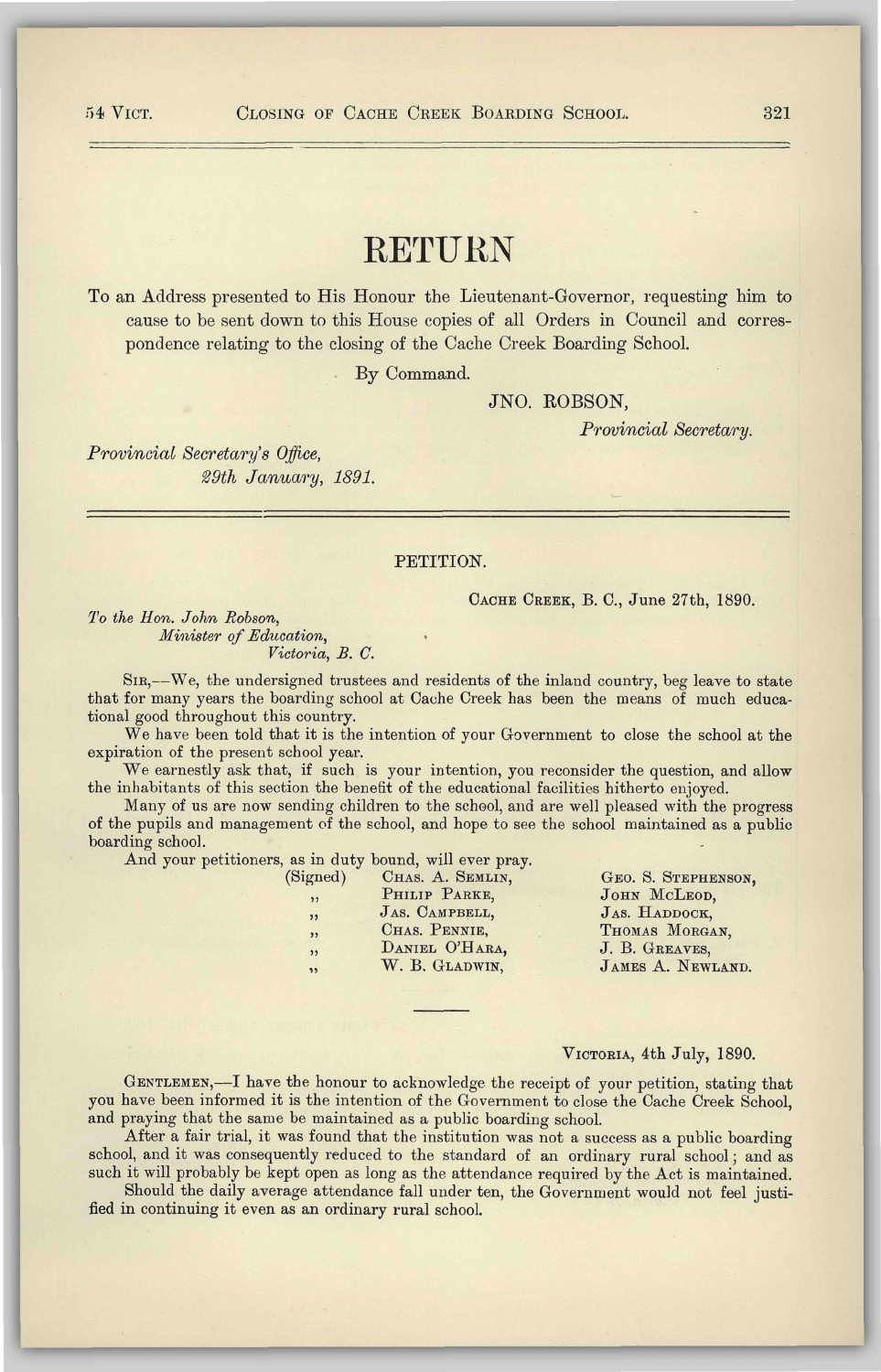# RETURN

To an Address presented to His Honour the Lieutenant-Governor, requesting him to cause to be sent down to this House copies of all Orders in Council and correspondence relating to the closing of the Cache Creek Boarding School.

By Command.

# **JNO. ROBSON,**

*Provincial Secretary.* 

*Provincial Secretary's Office, 29th January, 1891.* 

### PETITION.

CACHE CREEK, B. C, June 27th, 1890.

*To the Hon. John Robson, Minister of Education, Victoria, B. C.* 

SIR,—We, the undersigned trustees and residents of the inland country, beg leave to state that for many years the boarding school at Cache Creek has been the means of much educational good throughout this country.

We have been told that it is the intention of your Government to close the school at the expiration of the present school year.

We earnestly ask that, if such is your intention, you reconsider the question, and allow the inhabitants of this section the benefit of the educational facilities hitherto enjoyed.

Many of us are now sending children to the school, and are well pleased with the progress of the pupils and management of the school, and hope to see the school maintained as a public boarding school.

And your petitioners, as in duty bound, will ever pray.<br>(Signed) CHAS. A. SEMLIN,

| gned)                    | CHAS. A. SEMLIN, |
|--------------------------|------------------|
| , ,                      | PHILIP PARKE,    |
| , 1)                     | JAS. CAMPBELL,   |
| , ,                      | CHAS. PENNIE,    |
| ,                        | DANIEL O'HARA,   |
| $\overline{\mathbf{32}}$ | W. B. GLADWIN,   |
|                          |                  |

GEO. S. STEPHENSON, JOHN MCLEOD, JAS. HADDOCK, THOMAS MORGAN, J. B. GREAVES, JAMES A. NEWLAND.

### VICTORIA, 4th July, 1890.

GENTLEMEN,—I have the honour to acknowledge the receipt of your petition, stating that you have been informed it is the intention of the Government to close the Cache Creek School, and praying that the same be maintained as a public boarding school.

After a fair trial, it was found that the institution was not a success as a public boarding school, and it was consequently reduced to the standard of an ordinary rural school; and as such it will probably be kept open as long as the attendance required by the Act is maintained.

Should the daily average attendance fall under ten, the Government would not feel justified in continuing it even as an ordinary rural school.